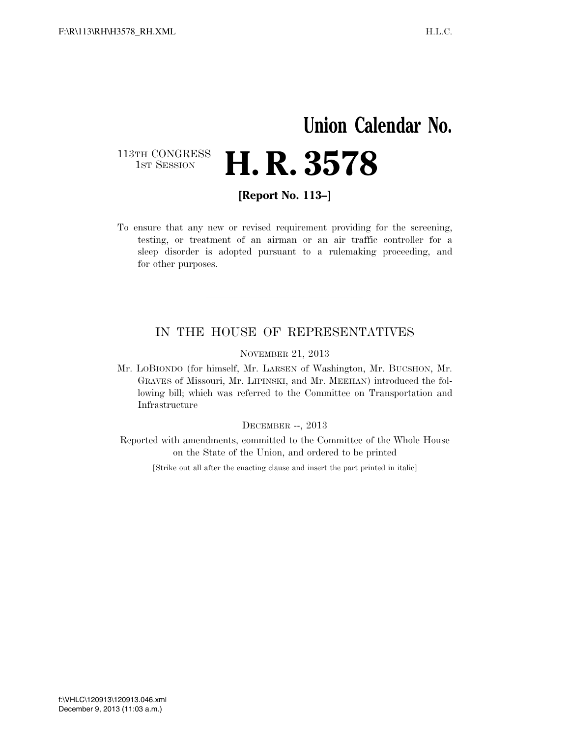## **Union Calendar No.** 113TH CONGRESS<br>1st Session H. R. 3578

**[Report No. 113–]** 

To ensure that any new or revised requirement providing for the screening, testing, or treatment of an airman or an air traffic controller for a sleep disorder is adopted pursuant to a rulemaking proceeding, and for other purposes.

## IN THE HOUSE OF REPRESENTATIVES

NOVEMBER 21, 2013

Mr. LOBIONDO (for himself, Mr. LARSEN of Washington, Mr. BUCSHON, Mr. GRAVES of Missouri, Mr. LIPINSKI, and Mr. MEEHAN) introduced the following bill; which was referred to the Committee on Transportation and Infrastructure

DECEMBER --, 2013

Reported with amendments, committed to the Committee of the Whole House on the State of the Union, and ordered to be printed

[Strike out all after the enacting clause and insert the part printed in italic]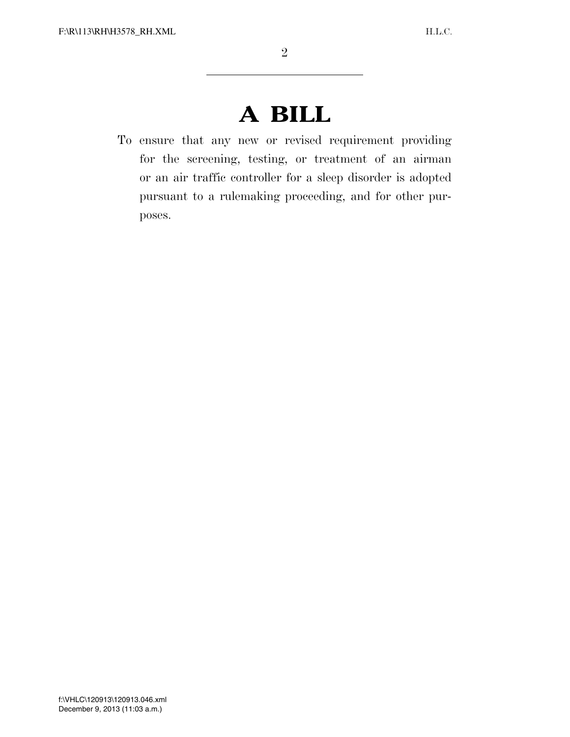## **A BILL**

To ensure that any new or revised requirement providing for the screening, testing, or treatment of an airman or an air traffic controller for a sleep disorder is adopted pursuant to a rulemaking proceeding, and for other purposes.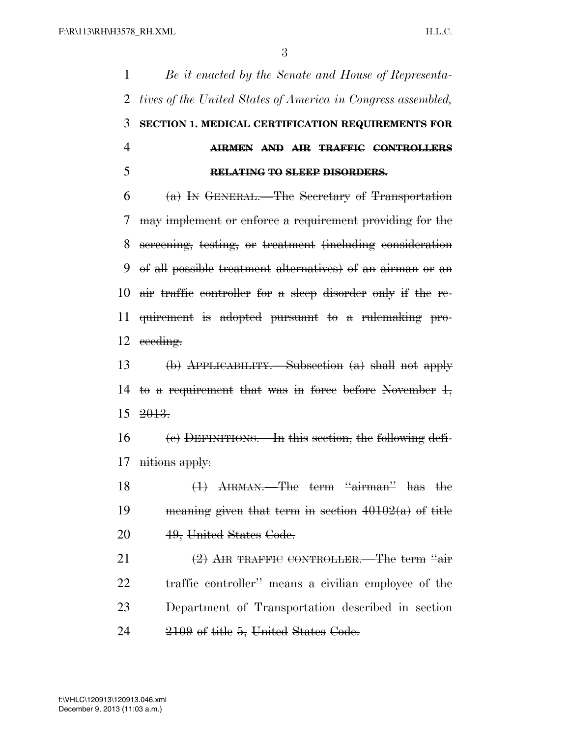*Be it enacted by the Senate and House of Representa- tives of the United States of America in Congress assembled,* **SECTION 1. MEDICAL CERTIFICATION REQUIREMENTS FOR AIRMEN AND AIR TRAFFIC CONTROLLERS RELATING TO SLEEP DISORDERS.**   $6 \quad$   $(a)$  In GENERAL.—The Secretary of Transportation may implement or enforce a requirement providing for the screening, testing, or treatment (including consideration of all possible treatment alternatives) of an airman or an air traffic controller for a sleep disorder only if the re- quirement is adopted pursuant to a rulemaking pro-12 eeeding. (b) APPLICABILITY.—Subsection (a) shall not apply to a requirement that was in force before November 1, 2013. (c) DEFINITIONS.—In this section, the following defi- nitions apply: 18 (1) AIRMAN.—The term "airman" has the 19 meaning given that term in section  $40102(a)$  of title 49, United States Code. (2) AIR TRAFFIC CONTROLLER.—The term ''air traffic controller'' means a civilian employee of the Department of Transportation described in section 2109 of title 5, United States Code.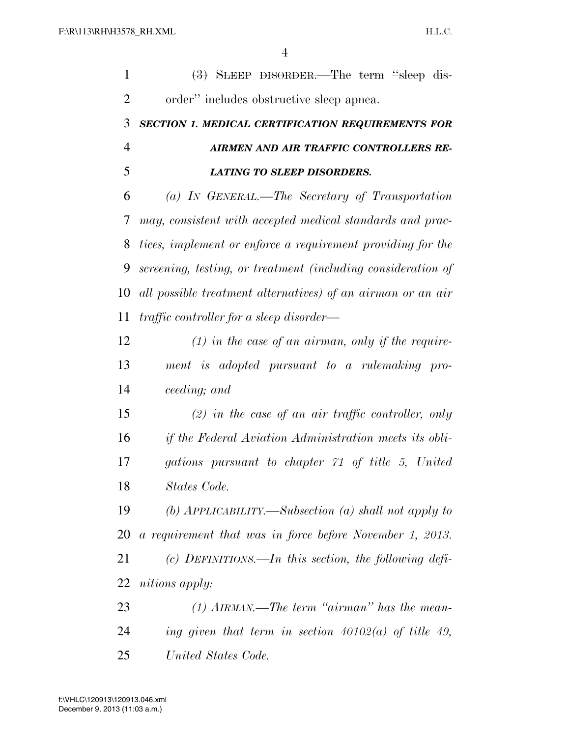| 1              | $(3)$ SLEEP DISORDER.—The term "sleep dis-                    |
|----------------|---------------------------------------------------------------|
| 2              | order" includes obstructive sleep apnea.                      |
| 3              | SECTION 1. MEDICAL CERTIFICATION REQUIREMENTS FOR             |
| $\overline{4}$ | AIRMEN AND AIR TRAFFIC CONTROLLERS RE-                        |
| 5              | <b>LATING TO SLEEP DISORDERS.</b>                             |
| 6              | (a) IN GENERAL.—The Secretary of Transportation               |
| 7              | may, consistent with accepted medical standards and prac-     |
| 8              | tices, implement or enforce a requirement providing for the   |
| 9              | screening, testing, or treatment (including consideration of  |
| 10             | all possible treatment alternatives) of an airman or an air   |
| 11             | traffic controller for a sleep disorder—                      |
| 12             | $(1)$ in the case of an airman, only if the require-          |
| 13             | ment is adopted pursuant to a rulemaking pro-                 |
| 14             | ceeding; and                                                  |
| 15             | $(2)$ in the case of an air traffic controller, only          |
| 16             | <i>if the Federal Aviation Administration meets its obli-</i> |
| 17             | gations pursuant to chapter 71 of title 5, United             |
| 18             | States Code.                                                  |
| 19             | (b) $APPLICABILITY$ —Subsection (a) shall not apply to        |
| 20             | a requirement that was in force before November 1, 2013.      |
| 21             | (c) DEFINITIONS.—In this section, the following defi-         |
| 22             | <i>nitions apply:</i>                                         |
| 23             | $(1)$ AIRMAN.—The term "airman" has the mean-                 |
| 24             | ing given that term in section $40102(a)$ of title 49,        |
| 25             | United States Code.                                           |